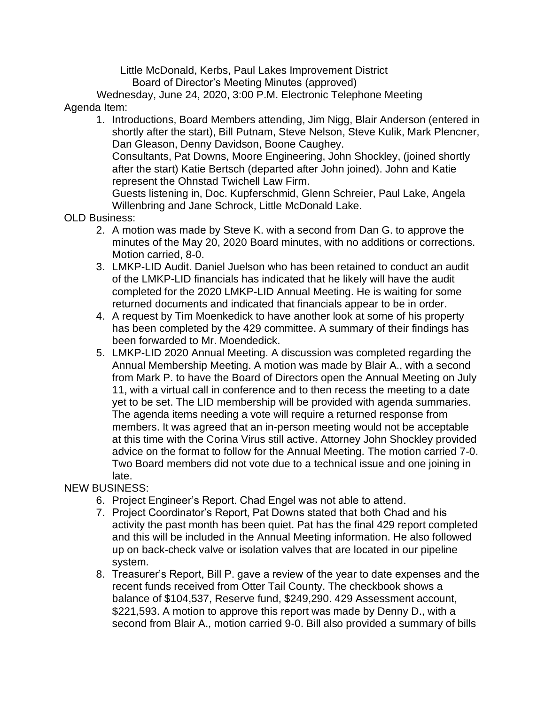Little McDonald, Kerbs, Paul Lakes Improvement District Board of Director's Meeting Minutes (approved)

 Wednesday, June 24, 2020, 3:00 P.M. Electronic Telephone Meeting Agenda Item:

- 1. Introductions, Board Members attending, Jim Nigg, Blair Anderson (entered in shortly after the start), Bill Putnam, Steve Nelson, Steve Kulik, Mark Plencner, Dan Gleason, Denny Davidson, Boone Caughey. Consultants, Pat Downs, Moore Engineering, John Shockley, (joined shortly after the start) Katie Bertsch (departed after John joined). John and Katie represent the Ohnstad Twichell Law Firm. Guests listening in, Doc. Kupferschmid, Glenn Schreier, Paul Lake, Angela Willenbring and Jane Schrock, Little McDonald Lake.
- OLD Business:
	- 2. A motion was made by Steve K. with a second from Dan G. to approve the minutes of the May 20, 2020 Board minutes, with no additions or corrections. Motion carried, 8-0.
	- 3. LMKP-LID Audit. Daniel Juelson who has been retained to conduct an audit of the LMKP-LID financials has indicated that he likely will have the audit completed for the 2020 LMKP-LID Annual Meeting. He is waiting for some returned documents and indicated that financials appear to be in order.
	- 4. A request by Tim Moenkedick to have another look at some of his property has been completed by the 429 committee. A summary of their findings has been forwarded to Mr. Moendedick.
	- 5. LMKP-LID 2020 Annual Meeting. A discussion was completed regarding the Annual Membership Meeting. A motion was made by Blair A., with a second from Mark P. to have the Board of Directors open the Annual Meeting on July 11, with a virtual call in conference and to then recess the meeting to a date yet to be set. The LID membership will be provided with agenda summaries. The agenda items needing a vote will require a returned response from members. It was agreed that an in-person meeting would not be acceptable at this time with the Corina Virus still active. Attorney John Shockley provided advice on the format to follow for the Annual Meeting. The motion carried 7-0. Two Board members did not vote due to a technical issue and one joining in late.

## NEW BUSINESS:

- 6. Project Engineer's Report. Chad Engel was not able to attend.
- 7. Project Coordinator's Report, Pat Downs stated that both Chad and his activity the past month has been quiet. Pat has the final 429 report completed and this will be included in the Annual Meeting information. He also followed up on back-check valve or isolation valves that are located in our pipeline system.
- 8. Treasurer's Report, Bill P. gave a review of the year to date expenses and the recent funds received from Otter Tail County. The checkbook shows a balance of \$104,537, Reserve fund, \$249,290. 429 Assessment account, \$221,593. A motion to approve this report was made by Denny D., with a second from Blair A., motion carried 9-0. Bill also provided a summary of bills